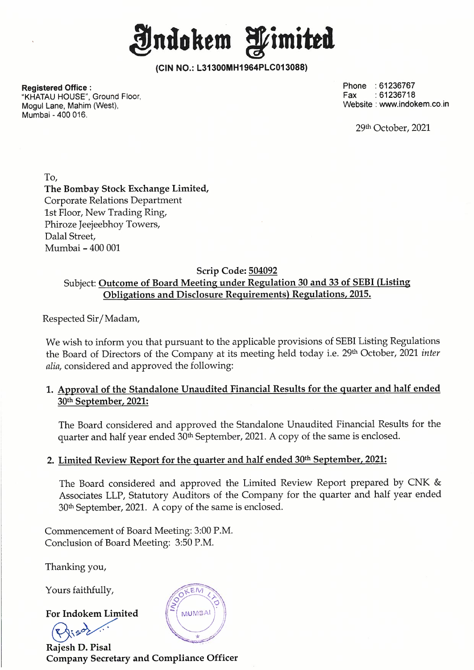**Jndokem fimitta** 

**(CIN NO.: L31300MH1964PLC013088)** 

**Registered Office :**  "KHATAU HOUSE", Ground Floor, Mogul Lane, Mahim (West), Mumbai - 400 016.

Phone : 61236767 Fax :61236718 Website : www.indokem.co.in

29th October, 2021

To, **The Bombay Stock Exchange Limited,**  Corporate Relations Department 1st Floor, New Trading Ring, Phiroze Jeejeebhoy Towers, Dalal Street, Mumbai - 400 001

#### **Scrip Code: 504092**  Subject: **Outcome of Board Meeting under Regulation 30 and 33 of SEBI (Listing Obligations and Disclosure Requirements) Regulations, 2015.**

Respected Sir/ Madam,

We wish to inform you that pursuant to the applicable provisions of SEBI Listing Regulations the Board of Directors of the Company at its meeting held today i.e. 29<sup>th</sup> October, 2021 *inter alia,* considered and approved the following:

**1. Approval of the Standalone Unaudited Financial Results for the quarter and half ended 30th September, 2021:** 

The Board considered and approved the Standalone Unaudited Financial Results for the quarter and half year ended 30<sup>th</sup> September, 2021. A copy of the same is enclosed.

### **2. Limited Review Report for the quarter and half ended 30 th September, 2021:**

The Board considered and approved the Limited Review Report prepared by CNK & Associates LLP, Statutory Auditors of the Company for the quarter and half year ended 30th September, 2021. A copy of the same is enclosed.

Commencement of Board Meeting: 3:00 P.M. Conclusion of Board Meeting: 3:50 P.M.

Thanking you,

Yours faithfully,

**For Indokem Limited**  ours faithfully,<br>or Indokem Limited<br>Rise Contract Contract a<br>ajesh D. Pisal



**Rajesh D. Pisal Company Secretary and Compliance Officer**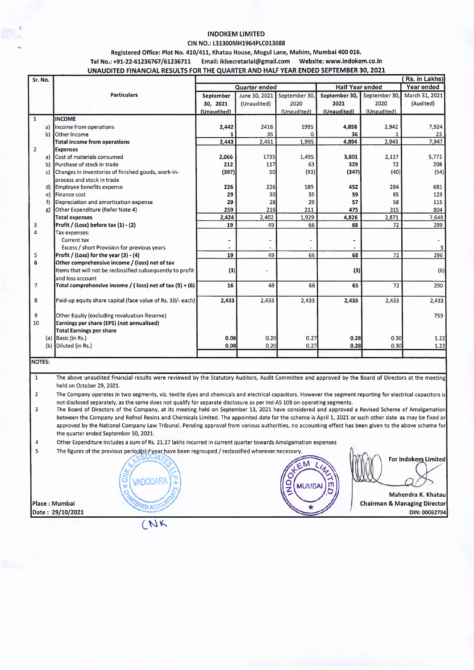#### **INDOKEM LIMITED**

#### CIN NO.: L31300MH1964PLC013088

#### Registered Office: Plot No. 410/411, Khatau House, Mogul Lane, Mahim, Mumbai 400 016.

#### Tel No.: +91-22-61236767/61236711 Email: iklsecretarial@gmail.com Website: www.indokem.co.in UNAUDITED FINANCIAL RESULTS FOR THE QUARTER AND HALF YEAR ENDED SEPTEMBER 30, 2021

| Sr. No.        |     |                                                            |               |               |               |                        |               | (Rs. in Lakhs) |
|----------------|-----|------------------------------------------------------------|---------------|---------------|---------------|------------------------|---------------|----------------|
|                |     |                                                            | Quarter ended |               |               | <b>Half Year ended</b> |               | Year ended     |
|                |     | <b>Particulars</b>                                         | September     | June 30, 2021 | September 30, | September 30,          | September 30, | March 31, 2021 |
|                |     |                                                            | 30, 2021      | (Unaudited)   | 2020          | 2021                   | 2020          | (Audited)      |
|                |     |                                                            | (Unaudited)   |               | (Unaudited)   | (Unaudited)            | (Unaudited)   |                |
| $\mathbf{1}$   |     | <b>INCOME</b>                                              |               |               |               |                        |               |                |
|                | a)  | Income from operations                                     | 2,442         | 2416          | 1995          | 4,858                  | 2,942         | 7,924          |
|                | b)  | <b>Other Income</b>                                        |               | 35            | U             | 36                     |               | 23             |
|                |     | <b>Total income from operations</b>                        | 2,443         | 2,451         | 1,995         | 4,894                  | 2,943         | 7,947          |
| $\overline{2}$ |     | <b>Expenses</b>                                            |               |               |               |                        |               |                |
|                |     | a) Cost of materials consumed                              | 2,066         | 1735          | 1,495         | 3,801                  | 2,117         | 5,771          |
|                | b)  | Purchase of stock in trade                                 | 212           | 117           | 63            | 329                    | 72            | 208            |
|                | c)  | Changes in inventories of finished goods, work-in-         | (397)         | 50            | (93)          | (347)                  | (40)          | (54)           |
|                |     | process and stock in trade                                 |               |               |               |                        |               |                |
|                | d)  | Employee benefits expense                                  | 226           | 226           | 189           | 452                    | 284           | 681            |
|                | e)  | Finance cost                                               | 29            | 30            | 35            | 59                     | 65            | 123            |
|                | f)  | Depreciation and amortisation expense                      | 29            | 28            | 29            | 57                     | 58            | 115            |
|                | g)  | Other Expenditure (Refer Note 4)                           | 259           | 216           | 211           | 475                    | 315           | 804            |
|                |     | <b>Total expenses</b>                                      | 2,424         | 2.402         | 1,929         | 4,826                  | 2,871         | 7,648          |
| з              |     | Profit / (Loss) before tax (1) - (2)                       | 19            | 49            | 66            | 68                     | 72            | 299            |
| 4              |     | Tax expenses:                                              |               |               |               |                        |               |                |
|                |     | <b>Current tax</b>                                         |               |               |               | ٠                      |               |                |
|                |     | Excess / short Provision for previous years                |               |               |               |                        |               | 3 <sup>1</sup> |
| 5              |     | Profit / (Loss) for the year (3) - (4)                     | 19            | 49            | 66            | 68                     | 72            | 296            |
| 6              |     | Other comprehensive income / (loss) net of tax             |               |               |               |                        |               |                |
|                |     | Items that will not be reclassified subsequently to profit | (3)           |               |               | (3)                    |               | (6)            |
|                |     | and loss account                                           |               |               |               |                        |               |                |
| $\overline{7}$ |     | Total comprehensive income / (loss) net of tax $(5) + (6)$ | 16            | 49            | 66            | 65                     | 72            | 290            |
| 8              |     | Paid-up equity share capital (face value of Rs. 10/- each) | 2.433         | 2,433         | 2,433         | 2,433                  | 2,433         | 2,433          |
| 9              |     | Other Equity (excluding revaluation Reserve)               |               |               |               |                        |               | 759            |
| 10             |     | Earnings per share (EPS) (not annualised)                  |               |               |               |                        |               |                |
|                |     | <b>Total Earnings per share</b>                            |               |               |               |                        |               |                |
|                |     | (a) Basic (in Rs.)                                         | 0.08          | 0.20          | 0.27          | 0.28                   | 0.30          | 1.22           |
|                | (b) | Diluted (in Rs.)                                           | 0.08          | 0.20          | 0.27          | 0.28                   | 0.30          | 1.22           |
|                |     |                                                            |               |               |               |                        |               |                |
| <b>INOTES:</b> |     |                                                            |               |               |               |                        |               |                |

 $\mathbf{1}$ The above unaudited financial results were reviewed by the Statutory Auditors, Audit Committee and approved by the Board of Directors at the meeting held on October 29, 2021.

 $\overline{2}$ The Company operates in two segments, viz. textile dyes and chemicals and electrical capacitors. However the segment reporting for electrical capacitors is not disclosed separately, as the same does not qualify for separate disclosure as per Ind-AS 108 on operating segments.

 $\overline{3}$ The Board of Directors of the Company, at its meeting held on September 13, 2021 have considered and approved a Revised Scheme of Amalgamation between the Company and Refnol Resins and Chemicals Limited. The appointed date for the scheme is April 1, 2021 or such other date as may be fixed or approved by the National Company Law Tribunal. Pending approval from various authorities, no accounting effect has been given to the above scheme for the quarter ended September 30, 2021.

 $\sqrt{4}$ Other Expenditure includes a sum of Rs. 21.27 lakhs incurred in current quarter towards Amalgamation expenses

 $\overline{\mathbf{5}}$ The figures of the previous period(s) / year have been regrouped / reclassified wherever necessary

Place: Mumbai Date: 29/10/2021



For Indokem Limited

Mahendra K. Khatau **Chairman & Managing Director** DIN: 00062794

(NK

**VADODAR/** 

**ED ACCO**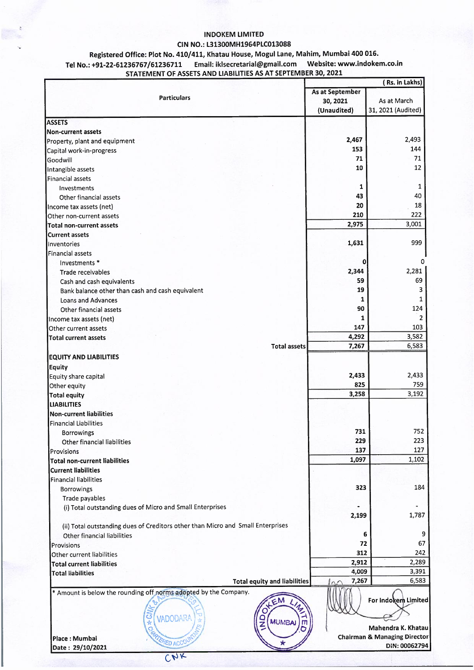#### **INDOKEM LIMITED CIN NO.: L31300MH1964PLC013088**

#### **Registered Office: Plot No. 410/411, Khatau House, Mogul Lane, Mahim, Mumbai 400 016. Tel No.: +91-22-61236767 /61236711 Email: iklsecretarial@gmail.com Website: www.indokem.co.in STATEMENT OF ASSETS AND LIABILITIES AS AT SEPTEMBER 30, 2021**

,.

|                                                                                                                                                               |                        | (Rs. in Lakhs)                            |  |  |  |
|---------------------------------------------------------------------------------------------------------------------------------------------------------------|------------------------|-------------------------------------------|--|--|--|
|                                                                                                                                                               | <b>As at September</b> |                                           |  |  |  |
| <b>Particulars</b>                                                                                                                                            | 30, 2021               | As at March                               |  |  |  |
|                                                                                                                                                               | (Unaudited)            | 31, 2021 (Audited)                        |  |  |  |
| <b>ASSETS</b>                                                                                                                                                 |                        |                                           |  |  |  |
| <b>Non-current assets</b>                                                                                                                                     |                        |                                           |  |  |  |
| Property, plant and equipment                                                                                                                                 | 2,467                  | 2,493                                     |  |  |  |
| Capital work-in-progress                                                                                                                                      | 153                    | 144                                       |  |  |  |
| Goodwill                                                                                                                                                      | 71                     | 71                                        |  |  |  |
| Intangible assets                                                                                                                                             | 10                     | 12                                        |  |  |  |
| Financial assets                                                                                                                                              |                        |                                           |  |  |  |
| Investments                                                                                                                                                   | 1                      | 1                                         |  |  |  |
| Other financial assets                                                                                                                                        | 43                     | 40                                        |  |  |  |
| Income tax assets (net)                                                                                                                                       | 20                     | 18                                        |  |  |  |
| Other non-current assets                                                                                                                                      | 210                    | 222                                       |  |  |  |
| <b>Total non-current assets</b>                                                                                                                               | 2,975                  | 3,001                                     |  |  |  |
| <b>Current assets</b>                                                                                                                                         |                        |                                           |  |  |  |
| Inventories                                                                                                                                                   | 1,631                  | 999                                       |  |  |  |
| Financial assets                                                                                                                                              |                        |                                           |  |  |  |
| Investments *                                                                                                                                                 | 0                      | o                                         |  |  |  |
| Trade receivables                                                                                                                                             | 2,344                  | 2,281                                     |  |  |  |
| Cash and cash equivalents                                                                                                                                     | 59                     | 69                                        |  |  |  |
| Bank balance other than cash and cash equivalent                                                                                                              | 19                     | 3                                         |  |  |  |
| <b>Loans and Advances</b>                                                                                                                                     | 1                      | 1                                         |  |  |  |
| Other financial assets                                                                                                                                        | 90                     | 124                                       |  |  |  |
|                                                                                                                                                               | 1                      | $\overline{2}$                            |  |  |  |
| Income tax assets (net)<br>Other current assets                                                                                                               | 147                    | 103                                       |  |  |  |
|                                                                                                                                                               | 4,292                  | 3,582                                     |  |  |  |
| <b>Total current assets</b><br><b>Total assets</b>                                                                                                            | 7,267                  | 6,583                                     |  |  |  |
| <b>EQUITY AND LIABILITIES</b><br><b>Equity</b><br>Equity share capital<br>Other equity<br><b>Total equity</b><br><b>LIABILITIES</b>                           | 2,433<br>825<br>3,258  | 2,433<br>759<br>3,192                     |  |  |  |
| <b>Non-current liabilities</b>                                                                                                                                |                        |                                           |  |  |  |
| <b>Financial Liabilities</b>                                                                                                                                  | 731                    | 752                                       |  |  |  |
| Borrowings                                                                                                                                                    | 229                    | 223                                       |  |  |  |
| Other financial liabilities                                                                                                                                   | 137                    | 127                                       |  |  |  |
| Provisions                                                                                                                                                    |                        | 1,102                                     |  |  |  |
| <b>Total non-current liabilities</b>                                                                                                                          | 1,097                  |                                           |  |  |  |
| <b>Current liabilities</b>                                                                                                                                    |                        |                                           |  |  |  |
| <b>Financial liabilities</b>                                                                                                                                  | 323                    | 184                                       |  |  |  |
| Borrowings                                                                                                                                                    |                        |                                           |  |  |  |
| Trade payables                                                                                                                                                |                        |                                           |  |  |  |
| (i) Total outstanding dues of Micro and Small Enterprises                                                                                                     | 2,199                  | 1,787                                     |  |  |  |
| (ii) Total outstanding dues of Creditors other than Micro and Small Enterprises                                                                               |                        |                                           |  |  |  |
| Other financial liabilities                                                                                                                                   | 6                      | 9                                         |  |  |  |
| Provisions                                                                                                                                                    | 72                     | 67                                        |  |  |  |
| Other current liabilities                                                                                                                                     | 312                    | 242                                       |  |  |  |
| <b>Total current liabilities</b>                                                                                                                              | 2,912                  | 2,289                                     |  |  |  |
| <b>Total liabilities</b>                                                                                                                                      | 4,009                  | 3,391                                     |  |  |  |
| <b>Total equity and liabilities</b>                                                                                                                           | 7,267<br>nΓ            | 6,583                                     |  |  |  |
| * Amount is below the rounding off norms adopted by the Company.<br>$O^+$<br>$*$ CN<br>$\overline{Q}$<br>VADODARA<br><b>MUMBAI</b><br><b>CHARTERED ACCOUT</b> | $\mathsf{m}$           | For Indokem Limited<br>Mahendra K. Khatau |  |  |  |
| Place: Mumbai                                                                                                                                                 |                        | <b>Chairman &amp; Managing Director</b>   |  |  |  |
| Date: 29/10/2021                                                                                                                                              |                        | DIN: 00062794                             |  |  |  |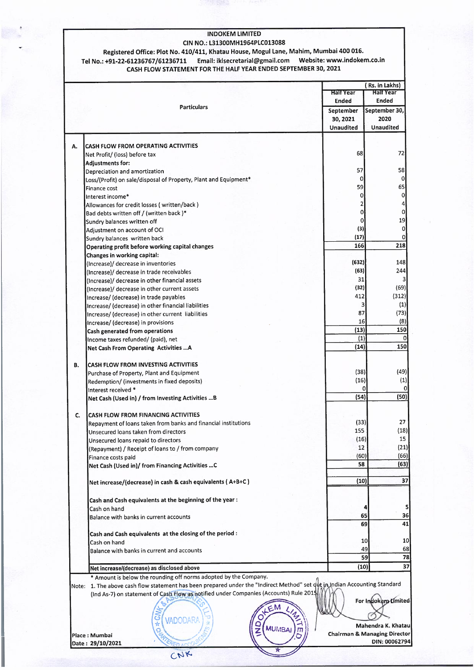#### INDOKEM LIMITED

#### CIN NO.: L31300MH1964PLC013088 Registered Office: Plot No. 410/411, Khatau House, Mogul Lane, Mahim, Mumbai 400 016. Tel No.: +91-22-61236767/61236711 Email: iklsecretarial@gmail.com Website: www.indokem.co.in CASH FLOW STATEMENT FOR THE HALF YEAR ENDED SEPTEMBER 30, 2021

|    |                                                                                                                            | <b>Half Year</b>                        | (Rs. in Lakhs)<br><b>Half Year</b> |
|----|----------------------------------------------------------------------------------------------------------------------------|-----------------------------------------|------------------------------------|
|    | <b>Particulars</b>                                                                                                         | <b>Ended</b>                            | <b>Ended</b>                       |
|    |                                                                                                                            | September                               | September 30,                      |
|    |                                                                                                                            | 30, 2021                                | 2020                               |
|    |                                                                                                                            | <b>Unaudited</b>                        | <b>Unaudited</b>                   |
|    |                                                                                                                            |                                         |                                    |
| А. | <b>CASH FLOW FROM OPERATING ACTIVITIES</b>                                                                                 | 68                                      | 72                                 |
|    | Net Profit/ (loss) before tax                                                                                              |                                         |                                    |
|    | Adjustments for:                                                                                                           |                                         |                                    |
|    | Depreciation and amortization                                                                                              | 57                                      | 58                                 |
|    | Loss/(Profit) on sale/disposal of Property, Plant and Equipment*                                                           | $\Omega$                                |                                    |
|    | Finance cost                                                                                                               | 59                                      | 65                                 |
|    | Interest income*                                                                                                           | 0                                       |                                    |
|    | Allowances for credit losses (written/back)                                                                                | $\overline{2}$                          |                                    |
|    | Bad debts written off / (written back)*                                                                                    | 0                                       |                                    |
|    | Sundry balances written off                                                                                                | 0                                       | 19                                 |
|    | Adiustment on account of OCI                                                                                               | (3)                                     |                                    |
|    |                                                                                                                            | (17)                                    |                                    |
|    | Sundry balances written back                                                                                               |                                         |                                    |
|    | Operating profit before working capital changes                                                                            | 166                                     | 218                                |
|    | Changes in working capital:                                                                                                |                                         |                                    |
|    | (Increase)/ decrease in inventories                                                                                        | (632)                                   | 148                                |
|    | (Increase)/ decrease in trade receivables                                                                                  | (63)                                    | 244                                |
|    | (Increase)/ decrease in other financial assets                                                                             | 31                                      |                                    |
|    | (Increase)/ decrease in other current assets                                                                               | (32)                                    | (69)                               |
|    | Increase/ (decrease) in trade payables                                                                                     | 412                                     | (312)                              |
|    |                                                                                                                            | 3                                       | (1)                                |
|    | Increase/ (decrease) in other financial liabilities                                                                        | 87                                      | (73)                               |
|    | Increase/ (decrease) in other current liabilities                                                                          |                                         |                                    |
|    | Increase/ (decrease) in provisions                                                                                         | 16                                      | (8)                                |
|    | Cash generated from operations                                                                                             | (13)                                    | 150                                |
|    | Income taxes refunded/ (paid), net                                                                                         | (1)                                     |                                    |
|    | Net Cash From Operating Activities  A                                                                                      | (14)                                    | 150                                |
|    |                                                                                                                            |                                         |                                    |
| В. | <b>CASH FLOW FROM INVESTING ACTIVITIES</b>                                                                                 |                                         |                                    |
|    | Purchase of Property, Plant and Equipment                                                                                  | (38)                                    | (49)                               |
|    |                                                                                                                            | (16)                                    | (1)                                |
|    | Redemption/ (investments in fixed deposits)                                                                                | 0                                       |                                    |
|    | Interest received *                                                                                                        | (54)                                    | (50)                               |
|    | Net Cash (Used in) / from Investing Activities  B                                                                          |                                         |                                    |
|    |                                                                                                                            |                                         |                                    |
| C. | <b>CASH FLOW FROM FINANCING ACTIVITIES</b>                                                                                 |                                         | 27                                 |
|    | Repayment of loans taken from banks and financial institutions                                                             | (33)                                    |                                    |
|    | Unsecured loans taken from directors                                                                                       | 155                                     | (18)                               |
|    | Unsecured loans repaid to directors                                                                                        | (16)                                    | 15                                 |
|    | (Repayment) / Receipt of loans to / from company                                                                           | 12                                      | (21)                               |
|    | Finance costs paid                                                                                                         | (60)                                    | (66)                               |
|    | Net Cash (Used in)/ from Financing Activities  C                                                                           | 58                                      | (63)                               |
|    |                                                                                                                            |                                         |                                    |
|    | Net increase/(decrease) in cash & cash equivalents (A+B+C)                                                                 | (10)                                    |                                    |
|    |                                                                                                                            |                                         |                                    |
|    | Cash and Cash equivalents at the beginning of the year:                                                                    |                                         |                                    |
|    | Cash on hand                                                                                                               |                                         |                                    |
|    | Balance with banks in current accounts                                                                                     | 65                                      |                                    |
|    |                                                                                                                            | 69                                      |                                    |
|    |                                                                                                                            |                                         |                                    |
|    | Cash and Cash equivalents at the closing of the period :                                                                   | 10                                      |                                    |
|    | Cash on hand                                                                                                               |                                         |                                    |
|    | Balance with banks in current and accounts                                                                                 | 49                                      |                                    |
|    |                                                                                                                            |                                         | 59                                 |
|    | Net increase/(decrease) as disclosed above                                                                                 | (10)                                    |                                    |
|    | * Amount is below the rounding off norms adopted by the Company.                                                           |                                         |                                    |
|    | Note: 1. The above cash flow statement has been prepared under the "Indirect Method" set qut in Indian Accounting Standard |                                         |                                    |
|    | (Ind As-7) on statement of Cash Flow as notified under Companies (Accounts) Rule 2015                                      |                                         |                                    |
|    |                                                                                                                            |                                         | For Indokem-Limited                |
|    |                                                                                                                            |                                         |                                    |
|    | ම                                                                                                                          |                                         |                                    |
|    | <b>VADODARA</b><br>¥                                                                                                       |                                         | Mahendra K. Khatau                 |
|    | <b>MUMBAI</b><br>Ź<br>$\mathsf{m}$<br>ą                                                                                    |                                         |                                    |
|    | Place: Mumbai                                                                                                              | <b>Chairman &amp; Managing Director</b> |                                    |
|    | Date : 29/10/2021                                                                                                          |                                         | DIN: 00062794                      |